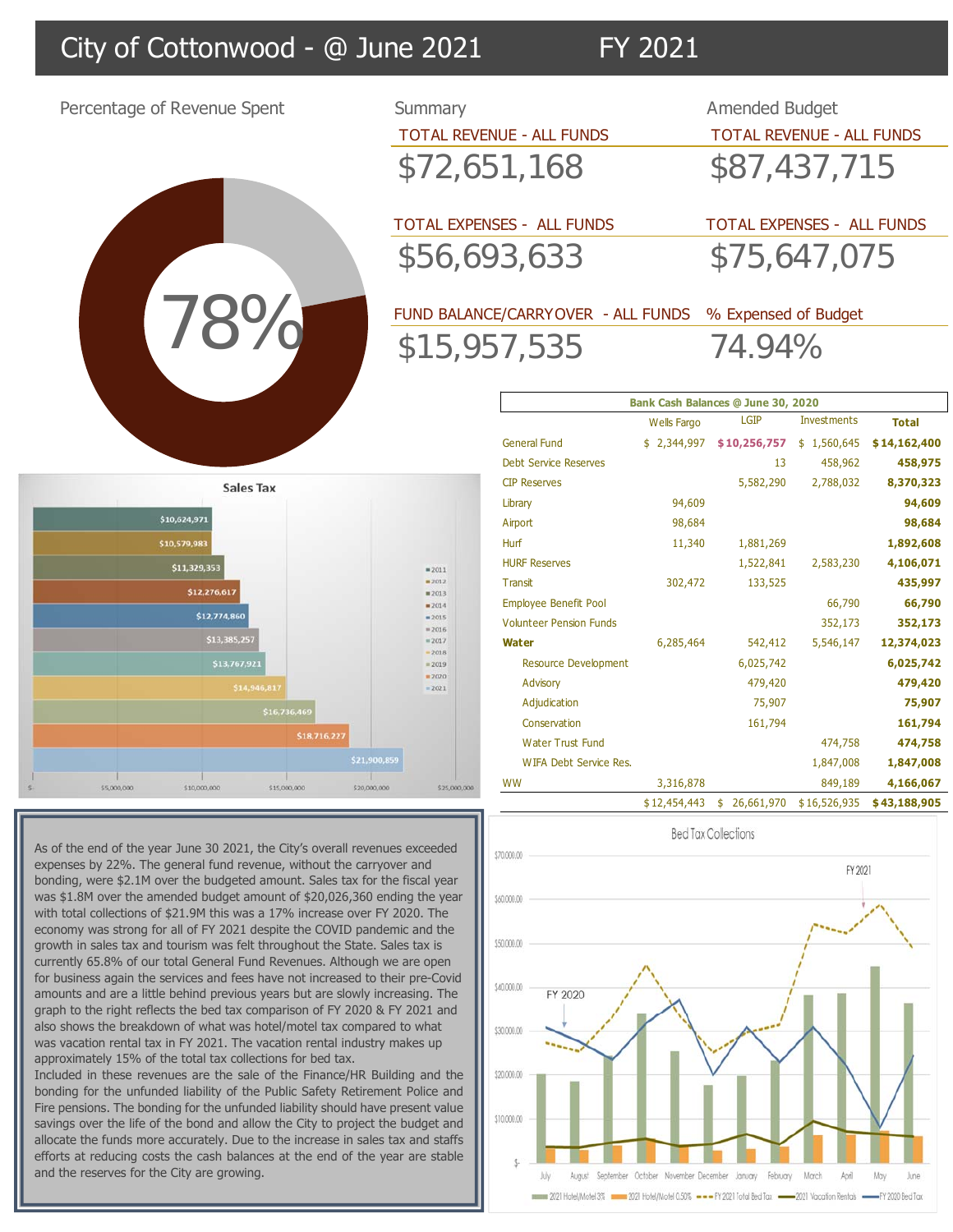## City of Cottonwood - @ June 2021 FY 2021

Percentage of Revenue Spent Summary Amended Budget TOTAL REVENUE - ALL FUNDS TOTAL REVENUE - ALL FUNDS \$72,651,168 \$87,437,715 TOTAL EXPENSES - ALL FUNDS TOTAL EXPENSES - ALL FUNDS \$56,693,633 \$75,647,075 78% 78% FUND BALANCE/CARRYOVER - ALL FUNDS % Expensed of Budget \$15,957,535 74.94% **Bank Cash Balances @ June 30, 2020**Wells Fargo LGIP Investments **Total**  General Fund  $$ 2,344,997$   $$ 10,256,757$   $$ 1,560,645$   $$ 14,162,400$ Debt Service Reserves 13 458,962 **458,975** CIP Reserves 5,582,290 2,788,032 **8,370,323 Sales Tax** Library 94,609 **94,609** \$10,624,971 Airport 98,684 **98,684** \$10,579,98 Hurf 11,340 1,881,269 **1,892,608** HURF Reserves 1,522,841 2,583,230 **4,106,071** \$11,329,35  $= 2011$  $2012$ Transit 302,472 133,525 **435,997** \$12,276,617  $= 2013$ Employee Benefit Pool 66,790 **66,790**  $2014$ \$12,774,860  $= 2015$ Volunteer Pension Funds 352,173 **352,173**  $= 2016$ \$13,385,2  $= 2017$ **Water** 6,285,464 542,412 5,546,147 **12,374,023**  $-2018$  $= 2019$ Resource Development 6,025,742 **6,025,742**  $-2020$ Advisory **479,420 479,420 479,420** 

 $-2021$  $\epsilon$ cono  $\frac{1}{2}$ CHE OVO OV \$25,000,000

As of the end of the year June 30 2021, the City's overall revenues exceeded expenses by 22%. The general fund revenue, without the carryover and bonding, were \$2.1M over the budgeted amount. Sales tax for the fiscal year was \$1.8M over the amended budget amount of \$20,026,360 ending the year with total collections of \$21.9M this was a 17% increase over FY 2020. The economy was strong for all of FY 2021 despite the COVID pandemic and the growth in sales tax and tourism was felt throughout the State. Sales tax is currently 65.8% of our total General Fund Revenues. Although we are open for business again the services and fees have not increased to their pre-Covid amounts and are a little behind previous years but are slowly increasing. The graph to the right reflects the bed tax comparison of FY 2020 & FY 2021 and also shows the breakdown of what was hotel/motel tax compared to what was vacation rental tax in FY 2021. The vacation rental industry makes up approximately 15% of the total tax collections for bed tax.

Included in these revenues are the sale of the Finance/HR Building and the bonding for the unfunded liability of the Public Safety Retirement Police and Fire pensions. The bonding for the unfunded liability should have present value savings over the life of the bond and allow the City to project the budget and allocate the funds more accurately. Due to the increase in sales tax and staffs efforts at reducing costs the cash balances at the end of the year are stable and the reserves for the City are growing.



Adjudication 75,907 **75,907** Conservation 161,794 **161,794** Water Trust Fund 474,758 **474,758** WIFA Debt Service Res. 2012 1,847,008 1,847,008 WW 3,316,878 849,189 **4,166,067** 

\$ 26,661,970 12,454,443 \$ 16,526,935 \$ **\$ 43,188,905**